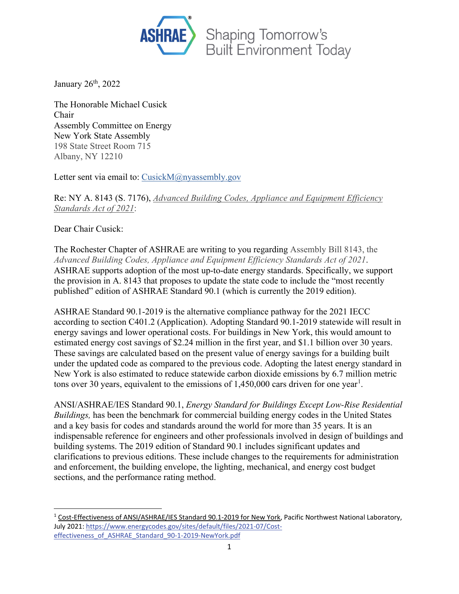

January 26<sup>th</sup>, 2022

The Honorable Michael Cusick Chair Assembly Committee on Energy New York State Assembly 198 State Street Room 715 Albany, NY 12210

Letter sent via email to: [CusickM@nyassembly.gov](mailto:cusickm@nyassembly.gov)

Re: NY A. 8143 (S. 7176), *Advanced Building Codes, Appliance and Equipment Efficiency Standards Act of 2021*:

Dear Chair Cusick:

The Rochester Chapter of ASHRAE are writing to you regarding Assembly Bill 8143, the *Advanced Building Codes, Appliance and Equipment Efficiency Standards Act of 2021*. ASHRAE supports adoption of the most up-to-date energy standards. Specifically, we support the provision in A. 8143 that proposes to update the state code to include the "most recently published" edition of ASHRAE Standard 90.1 (which is currently the 2019 edition).

ASHRAE Standard 90.1-2019 is the alternative compliance pathway for the 2021 IECC according to section C401.2 (Application). Adopting Standard 90.1-2019 statewide will result in energy savings and lower operational costs. For buildings in New York, this would amount to estimated energy cost savings of \$2.24 million in the first year, and \$1.1 billion over 30 years. These savings are calculated based on the present value of energy savings for a building built under the updated code as compared to the previous code. Adopting the latest energy standard in New York is also estimated to reduce statewide carbon dioxide emissions by 6.7 million metric tons over 30 years, equivalent to the emissions of  $1,450,000$  $1,450,000$  cars driven for one year<sup>1</sup>.

ANSI/ASHRAE/IES Standard 90.1, *Energy Standard for Buildings Except Low-Rise Residential Buildings,* has been the benchmark for commercial building energy codes in the United States and a key basis for codes and standards around the world for more than 35 years. It is an indispensable reference for engineers and other professionals involved in design of buildings and building systems. The 2019 edition of Standard 90.1 includes significant updates and clarifications to previous editions. These include changes to the requirements for administration and enforcement, the building envelope, the lighting, mechanical, and energy cost budget sections, and the performance rating method.

<span id="page-0-0"></span><sup>1</sup> Cost-Effectiveness of ANSI/ASHRAE/IES Standard 90.1-2019 for New York, Pacific Northwest National Laboratory, July 2021[: https://www.energycodes.gov/sites/default/files/2021-07/Cost](https://www.energycodes.gov/sites/default/files/2021-07/Cost-effectiveness_of_ASHRAE_Standard_90-1-2019-NewYork.pdf)[effectiveness\\_of\\_ASHRAE\\_Standard\\_90-1-2019-NewYork.pdf](https://www.energycodes.gov/sites/default/files/2021-07/Cost-effectiveness_of_ASHRAE_Standard_90-1-2019-NewYork.pdf)